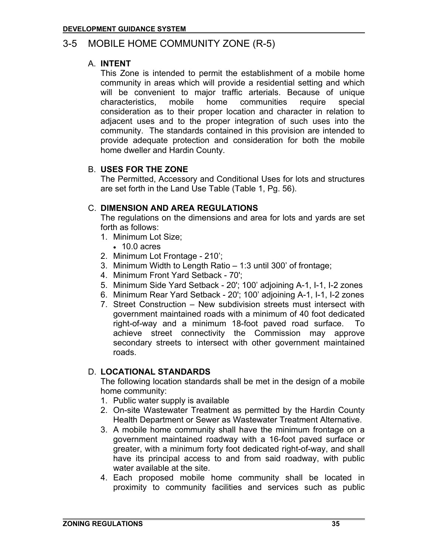# 3-5 MOBILE HOME COMMUNITY ZONE (R-5)

#### A. **INTENT**

This Zone is intended to permit the establishment of a mobile home community in areas which will provide a residential setting and which will be convenient to major traffic arterials. Because of unique characteristics, mobile home communities require special consideration as to their proper location and character in relation to adjacent uses and to the proper integration of such uses into the community. The standards contained in this provision are intended to provide adequate protection and consideration for both the mobile home dweller and Hardin County.

## B. **USES FOR THE ZONE**

The Permitted, Accessory and Conditional Uses for lots and structures are set forth in the Land Use Table (Table 1, Pg. 56).

### C. **DIMENSION AND AREA REGULATIONS**

The regulations on the dimensions and area for lots and yards are set forth as follows:

- 1. Minimum Lot Size;
	- 10.0 acres
- 2. Minimum Lot Frontage 210';
- 3. Minimum Width to Length Ratio 1:3 until 300' of frontage;
- 4. Minimum Front Yard Setback 70';
- 5. Minimum Side Yard Setback 20'; 100' adjoining A-1, I-1, I-2 zones
- 6. Minimum Rear Yard Setback 20'; 100' adjoining A-1, I-1, I-2 zones
- 7. Street Construction New subdivision streets must intersect with government maintained roads with a minimum of 40 foot dedicated right-of-way and a minimum 18-foot paved road surface. To achieve street connectivity the Commission may approve secondary streets to intersect with other government maintained roads.

### D. **LOCATIONAL STANDARDS**

The following location standards shall be met in the design of a mobile home community:

- 1. Public water supply is available
- 2. On-site Wastewater Treatment as permitted by the Hardin County Health Department or Sewer as Wastewater Treatment Alternative.
- 3. A mobile home community shall have the minimum frontage on a government maintained roadway with a 16-foot paved surface or greater, with a minimum forty foot dedicated right-of-way, and shall have its principal access to and from said roadway, with public water available at the site.
- 4. Each proposed mobile home community shall be located in proximity to community facilities and services such as public